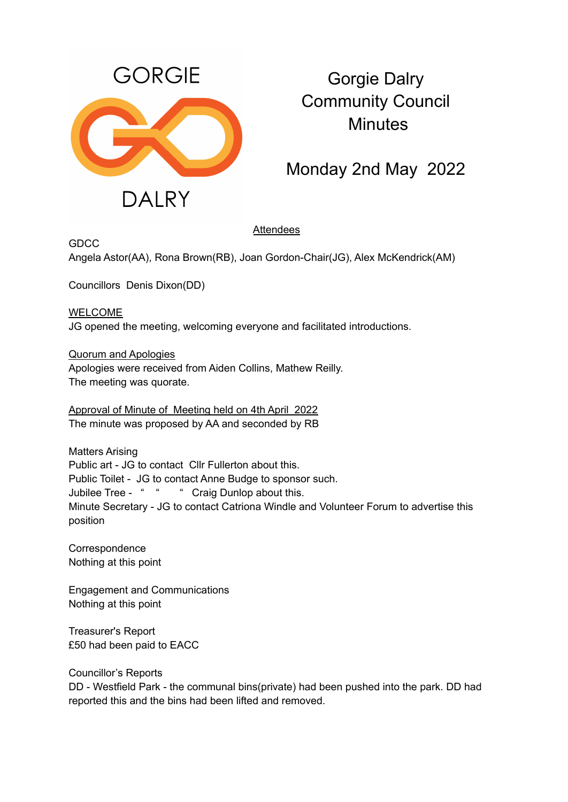

## Gorgie Dalry Community Council **Minutes**

Monday 2nd May 2022

## **Attendees**

**GDCC** 

Angela Astor(AA), Rona Brown(RB), Joan Gordon-Chair(JG), Alex McKendrick(AM)

Councillors Denis Dixon(DD)

WELCOME JG opened the meeting, welcoming everyone and facilitated introductions.

Quorum and Apologies Apologies were received from Aiden Collins, Mathew Reilly.

The meeting was quorate.

Approval of Minute of Meeting held on 4th April 2022 The minute was proposed by AA and seconded by RB

Matters Arising Public art - JG to contact Cllr Fullerton about this. Public Toilet - JG to contact Anne Budge to sponsor such. Jubilee Tree - " " " Craig Dunlop about this. Minute Secretary - JG to contact Catriona Windle and Volunteer Forum to advertise this position

**Correspondence** Nothing at this point

Engagement and Communications Nothing at this point

Treasurer's Report £50 had been paid to EACC

Councillor's Reports DD - Westfield Park - the communal bins(private) had been pushed into the park. DD had reported this and the bins had been lifted and removed.